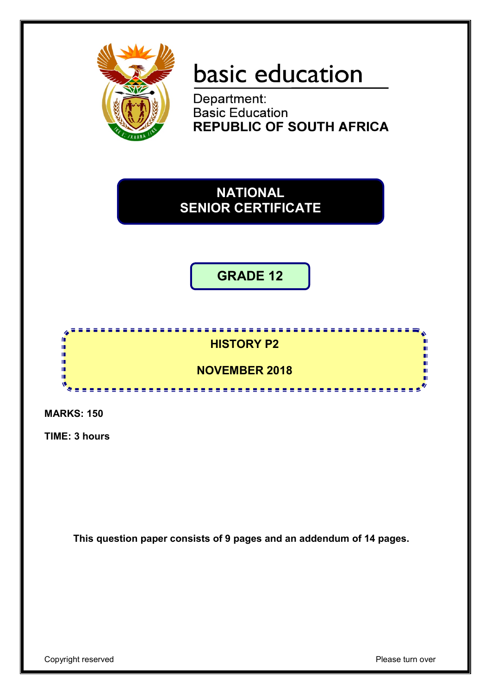

# basic education

Department: **Basic Education REPUBLIC OF SOUTH AFRICA** 

**NATIONAL SENIOR CERTIFICATE**

**GRADE 12**

# **HISTORY P2**

,,,,,,,,,,,,,,,,,,,,,,,,,,,,,,,

**NOVEMBER 2018**

<u>....................</u>

**MARKS: 150**

IÉ. I. ΙÚ, ı. т'n ıŕ

**TIME: 3 hours**

**This question paper consists of 9 pages and an addendum of 14 pages.**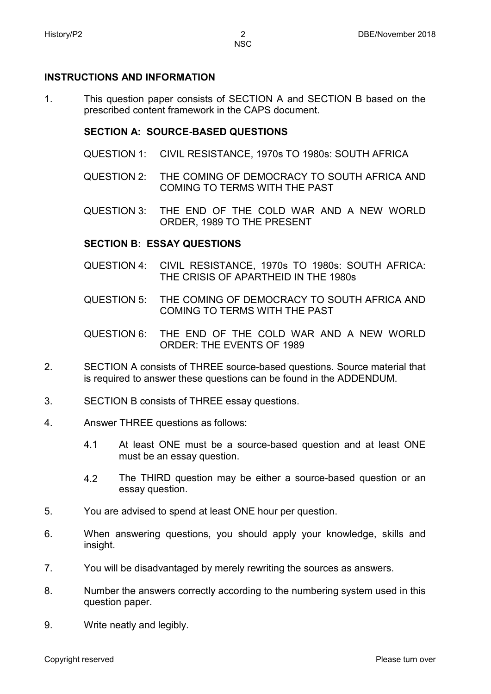#### **INSTRUCTIONS AND INFORMATION**

1. This question paper consists of SECTION A and SECTION B based on the prescribed content framework in the CAPS document.

#### **SECTION A: SOURCE-BASED QUESTIONS**

- QUESTION 1: CIVIL RESISTANCE, 1970s TO 1980s: SOUTH AFRICA
- QUESTION 2: THE COMING OF DEMOCRACY TO SOUTH AFRICA AND COMING TO TERMS WITH THE PAST
- QUESTION 3: THE END OF THE COLD WAR AND A NEW WORLD ORDER, 1989 TO THE PRESENT

#### **SECTION B: ESSAY QUESTIONS**

- QUESTION 4: CIVIL RESISTANCE, 1970s TO 1980s: SOUTH AFRICA: THE CRISIS OF APARTHEID IN THE 1980s
- QUESTION 5: THE COMING OF DEMOCRACY TO SOUTH AFRICA AND COMING TO TERMS WITH THE PAST
- QUESTION 6: THE END OF THE COLD WAR AND A NEW WORLD ORDER: THE EVENTS OF 1989
- 2. SECTION A consists of THREE source-based questions. Source material that is required to answer these questions can be found in the ADDENDUM.
- 3. SECTION B consists of THREE essay questions.
- 4. Answer THREE questions as follows:
	- 4.1 At least ONE must be a source-based question and at least ONE must be an essay question.
	- 4.2 The THIRD question may be either a source-based question or an essay question.
- 5. You are advised to spend at least ONE hour per question.
- 6. When answering questions, you should apply your knowledge, skills and insight.
- 7. You will be disadvantaged by merely rewriting the sources as answers.
- 8. Number the answers correctly according to the numbering system used in this question paper.
- 9. Write neatly and legibly.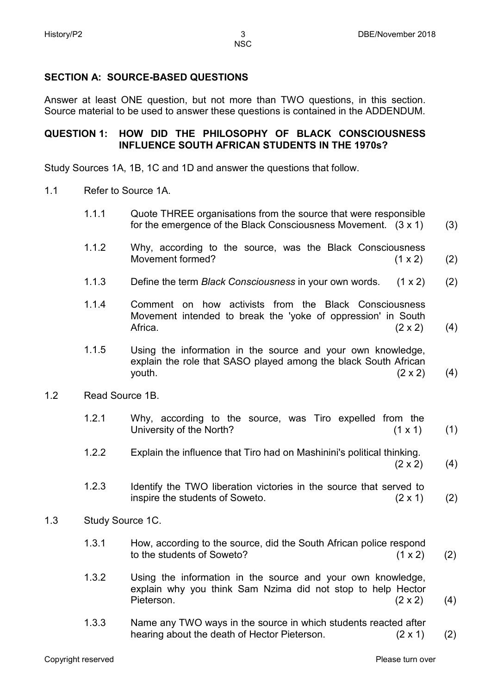# **SECTION A: SOURCE-BASED QUESTIONS**

Answer at least ONE question, but not more than TWO questions, in this section. Source material to be used to answer these questions is contained in the ADDENDUM.

# **QUESTION 1: HOW DID THE PHILOSOPHY OF BLACK CONSCIOUSNESS INFLUENCE SOUTH AFRICAN STUDENTS IN THE 1970s?**

Study Sources 1A, 1B, 1C and 1D and answer the questions that follow.

- 1.1 Refer to Source 1A.
	- 1.1.1 Quote THREE organisations from the source that were responsible for the emergence of the Black Consciousness Movement. (3 x 1) (3)
	- 1.1.2 Why, according to the source, was the Black Consciousness Movement formed? (1 x 2) (2)
	- 1.1.3 Define the term *Black Consciousness* in your own words. (1 x 2) (2)
	- 1.1.4 Comment on how activists from the Black Consciousness Movement intended to break the 'yoke of oppression' in South Africa.  $(2 \times 2)$ (4)
	- 1.1.5 Using the information in the source and your own knowledge, explain the role that SASO played among the black South African youth.  $(2 \times 2)$ (4)
- 1.2 Read Source 1B.

| 1.2.1 |                          | Why, according to the source, was Tiro expelled from the |  |  |  |  |  |  |                |     |
|-------|--------------------------|----------------------------------------------------------|--|--|--|--|--|--|----------------|-----|
|       | University of the North? |                                                          |  |  |  |  |  |  | $(1 \times 1)$ | (1) |

- 1.2.2 Explain the influence that Tiro had on Mashinini's political thinking.<br>(2 x 2)  $(2 \times 2)$
- 1.2.3 Identify the TWO liberation victories in the source that served to inspire the students of Soweto. (2 x 1) (2)
- 1.3 Study Source 1C.
	- 1.3.1 How, according to the source, did the South African police respond to the students of Soweto? (1 x 2) (2)
	- 1.3.2 Using the information in the source and your own knowledge, explain why you think Sam Nzima did not stop to help Hector Pieterson. (2 x 2) (4)
	- 1.3.3 Name any TWO ways in the source in which students reacted after hearing about the death of Hector Pieterson. (2 x 1) (2)

(4)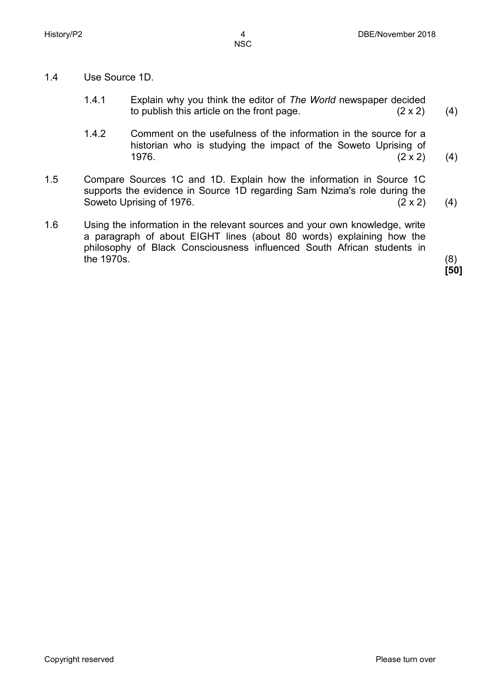- 1.4 Use Source 1D.
	- 1.4.1 Explain why you think the editor of *The World* newspaper decided to publish this article on the front page. (2 x 2) (4)
	- 1.4.2 Comment on the usefulness of the information in the source for a historian who is studying the impact of the Soweto Uprising of 1976.  $(2 \times 2)$ 1976.  $(2 \times 2)$ (4)
- 1.5 Compare Sources 1C and 1D. Explain how the information in Source 1C supports the evidence in Source 1D regarding Sam Nzima's role during the Soweto Uprising of 1976. Soweto Uprising of 1976.  $(2 \times 2)$  (4)
- 1.6 Using the information in the relevant sources and your own knowledge, write a paragraph of about EIGHT lines (about 80 words) explaining how the philosophy of Black Consciousness influenced South African students in the 1970s.  $(8)$

**[50]**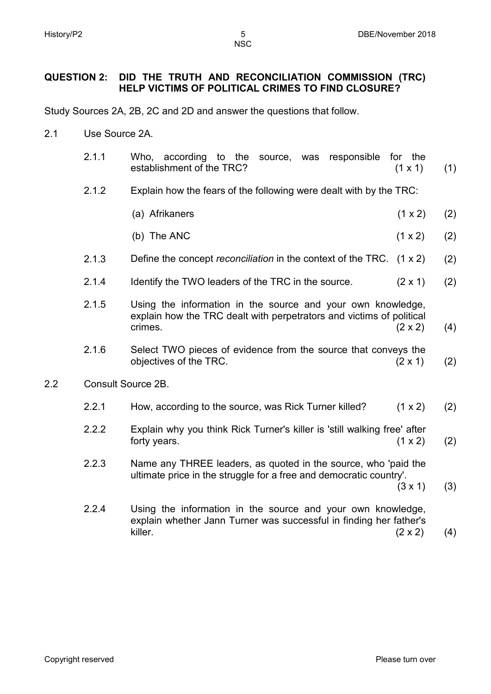**NSC** 

## **QUESTION 2: DID THE TRUTH AND RECONCILIATION COMMISSION (TRC) HELP VICTIMS OF POLITICAL CRIMES TO FIND CLOSURE?**

Study Sources 2A, 2B, 2C and 2D and answer the questions that follow.

- 2.1 Use Source 2A.
	- 2.1.1 Who, according to the source, was responsible for the establishment of the TRC? (1 x 1) (1)
	- 2.1.2 Explain how the fears of the following were dealt with by the TRC:
		- (a) Afrikaners (1 x 2) (2)
		- (b) The ANC  $(1 \times 2)$ (2)
	- 2.1.3 Define the concept *reconciliation* in the context of the TRC. (1 x 2) (2)
	- 2.1.4 Identify the TWO leaders of the TRC in the source. (2 x 1) (2)
	- 2.1.5 Using the information in the source and your own knowledge, explain how the TRC dealt with perpetrators and victims of political crimes.  $(2 \times 2)$ (4)
	- 2.1.6 Select TWO pieces of evidence from the source that conveys the objectives of the TRC. (2 x 1) (2)
- 2.2 Consult Source 2B.
	- 2.2.1 How, according to the source, was Rick Turner killed? (1 x 2) (2)
	- 2.2.2 Explain why you think Rick Turner's killer is 'still walking free' after forty years.  $(1 \times 2)$ (2)
	- 2.2.3 Name any THREE leaders, as quoted in the source, who 'paid the ultimate price in the struggle for a free and democratic country'.  $(3 \times 1)$ 
		- (3)
	- 2.2.4 Using the information in the source and your own knowledge, explain whether Jann Turner was successful in finding her father's killer. (2 x 2) (4)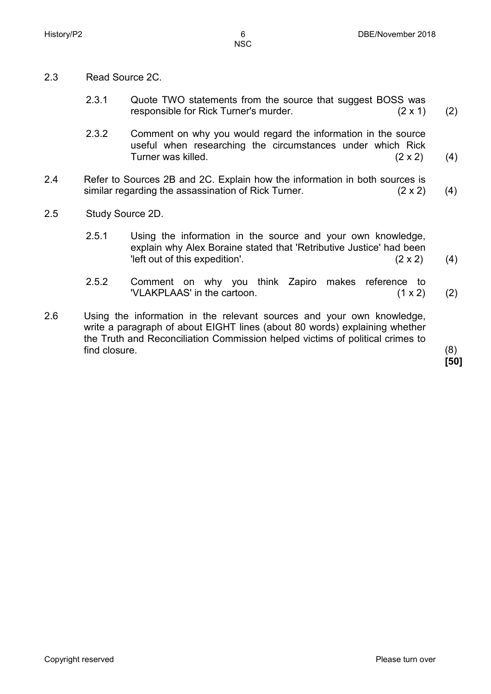- 2.3 Read Source 2C.
	- 2.3.1 Quote TWO statements from the source that suggest BOSS was responsible for Rick Turner's murder. (2 x 1) (2)
	- 2.3.2 Comment on why you would regard the information in the source useful when researching the circumstances under which Rick Turner was killed. (2 x 2) (4)
- 2.4 Refer to Sources 2B and 2C. Explain how the information in both sources is similar regarding the assassination of Rick Turner. (2 x 2) (4)
- 2.5 Study Source 2D.
	- 2.5.1 Using the information in the source and your own knowledge, explain why Alex Boraine stated that 'Retributive Justice' had been 'left out of this expedition'. (2 x 2) (4)
	- 2.5.2 Comment on why you think Zapiro makes reference to 'VLAKPLAAS' in the cartoon. (1 x 2) (2)
- 2.6 Using the information in the relevant sources and your own knowledge, write a paragraph of about EIGHT lines (about 80 words) explaining whether the Truth and Reconciliation Commission helped victims of political crimes to find closure. (8)

**[50]**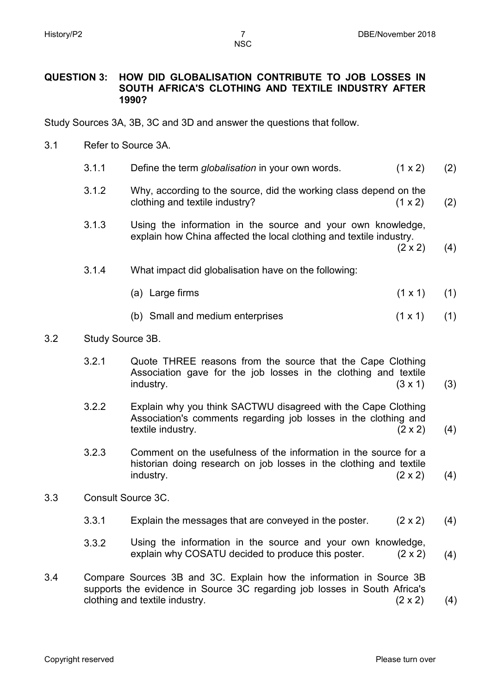**NSC** 

#### **QUESTION 3: HOW DID GLOBALISATION CONTRIBUTE TO JOB LOSSES IN SOUTH AFRICA'S CLOTHING AND TEXTILE INDUSTRY AFTER 1990?**

Study Sources 3A, 3B, 3C and 3D and answer the questions that follow.

- 3.1 Refer to Source 3A.
	- 3.1.1 Define the term *globalisation* in your own words. (1 x 2) (2)
	- 3.1.2 Why, according to the source, did the working class depend on the clothing and textile industry? (1 x 2) (2)
	- 3.1.3 Using the information in the source and your own knowledge, explain how China affected the local clothing and textile industry.
		- $(2 \times 2)$ (4)
	- 3.1.4 What impact did globalisation have on the following:
		- (a) Large firms  $(1 \times 1)$ (1)
		- (b) Small and medium enterprises (1 x 1) (1)

#### 3.2 Study Source 3B.

- 3.2.1 Quote THREE reasons from the source that the Cape Clothing Association gave for the job losses in the clothing and textile  $industry.$  (3 x 1) (3)
- 3.2.2 Explain why you think SACTWU disagreed with the Cape Clothing Association's comments regarding job losses in the clothing and textile industry. (2 x 2) (4)
- 3.2.3 Comment on the usefulness of the information in the source for a historian doing research on job losses in the clothing and textile  $industrv.$  (2 x 2) (4)
- 3.3 Consult Source 3C.
	- 3.3.1 Explain the messages that are conveyed in the poster. (2 x 2) (4)
	- 3.3.2 Using the information in the source and your own knowledge, explain why COSATU decided to produce this poster. (2 x 2) (4)
- 3.4 Compare Sources 3B and 3C. Explain how the information in Source 3B supports the evidence in Source 3C regarding job losses in South Africa's clothing and textile industry.  $(2 \times 2)$  (4)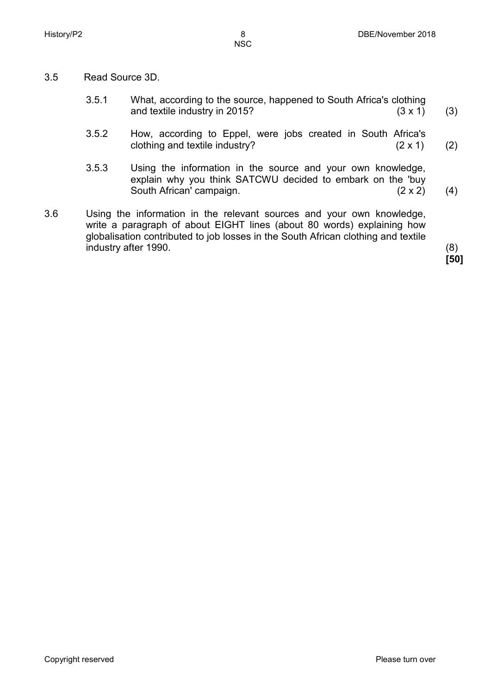- 
- 3.5 Read Source 3D.
	- 3.5.1 What, according to the source, happened to South Africa's clothing<br>and textile industry in 2015? (3 x 1) and textile industry in 2015? (3)
	- 3.5.2 How, according to Eppel, were jobs created in South Africa's clothing and textile industry? (2 x 1) (2)
	- 3.5.3 Using the information in the source and your own knowledge, explain why you think SATCWU decided to embark on the 'buy South African' campaign. (2 x 2) (4)
- 3.6 Using the information in the relevant sources and your own knowledge, write a paragraph of about EIGHT lines (about 80 words) explaining how globalisation contributed to job losses in the South African clothing and textile industry after 1990. (8)

**[50]**